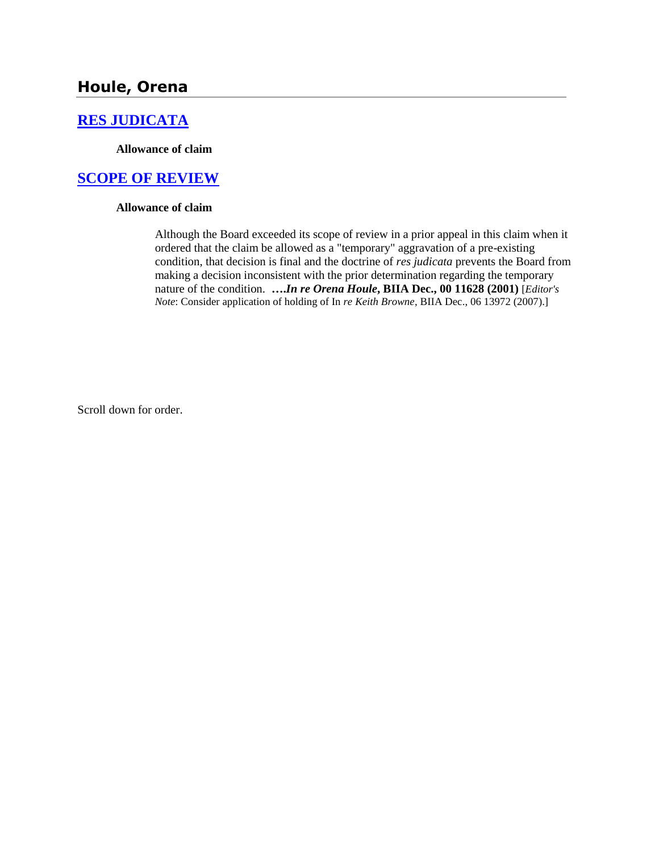# **Houle, Orena**

## **[RES JUDICATA](http://www.biia.wa.gov/SDSubjectIndex.html#RES_JUDICATA)**

**Allowance of claim**

## **[SCOPE OF REVIEW](http://www.biia.wa.gov/SDSubjectIndex.html#SCOPE_OF_REVIEW)**

#### **Allowance of claim**

Although the Board exceeded its scope of review in a prior appeal in this claim when it ordered that the claim be allowed as a "temporary" aggravation of a pre-existing condition, that decision is final and the doctrine of *res judicata* prevents the Board from making a decision inconsistent with the prior determination regarding the temporary nature of the condition. **….***In re Orena Houle***, BIIA Dec., 00 11628 (2001)** [*Editor's Note*: Consider application of holding of In *re Keith Browne*, BIIA Dec., 06 13972 (2007).]

Scroll down for order.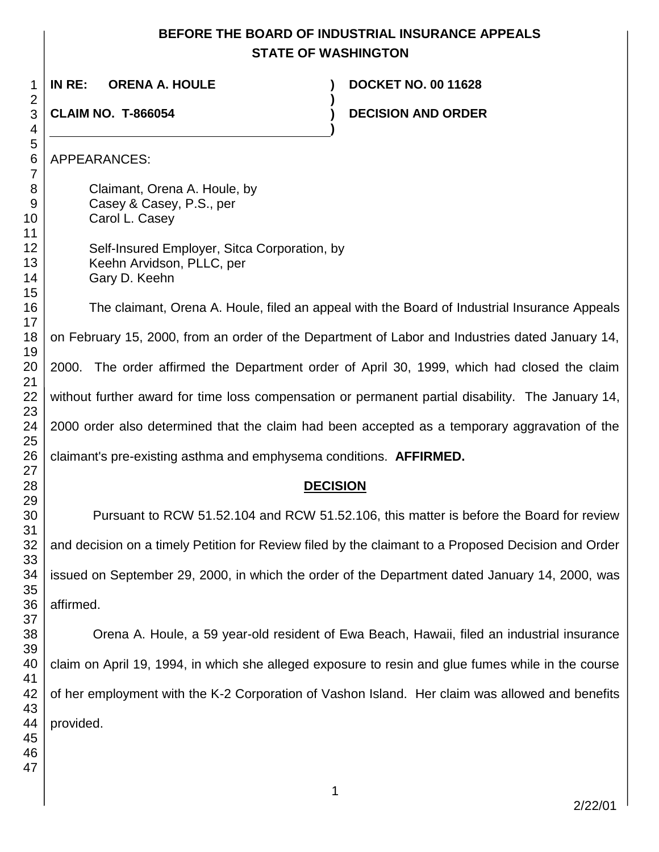## **BEFORE THE BOARD OF INDUSTRIAL INSURANCE APPEALS STATE OF WASHINGTON**

**)**

**)**

**IN RE: ORENA A. HOULE ) DOCKET NO. 00 11628**

**CLAIM NO. T-866054 )**

**DECISION AND ORDER** 

APPEARANCES:

Claimant, Orena A. Houle, by Casey & Casey, P.S., per Carol L. Casey Self-Insured Employer, Sitca Corporation, by

Keehn Arvidson, PLLC, per Gary D. Keehn

The claimant, Orena A. Houle, filed an appeal with the Board of Industrial Insurance Appeals on February 15, 2000, from an order of the Department of Labor and Industries dated January 14, 2000. The order affirmed the Department order of April 30, 1999, which had closed the claim without further award for time loss compensation or permanent partial disability. The January 14, 2000 order also determined that the claim had been accepted as a temporary aggravation of the claimant's pre-existing asthma and emphysema conditions. **AFFIRMED.**

## **DECISION**

Pursuant to RCW 51.52.104 and RCW 51.52.106, this matter is before the Board for review and decision on a timely Petition for Review filed by the claimant to a Proposed Decision and Order issued on September 29, 2000, in which the order of the Department dated January 14, 2000, was affirmed.

Orena A. Houle, a 59 year-old resident of Ewa Beach, Hawaii, filed an industrial insurance claim on April 19, 1994, in which she alleged exposure to resin and glue fumes while in the course of her employment with the K-2 Corporation of Vashon Island. Her claim was allowed and benefits provided.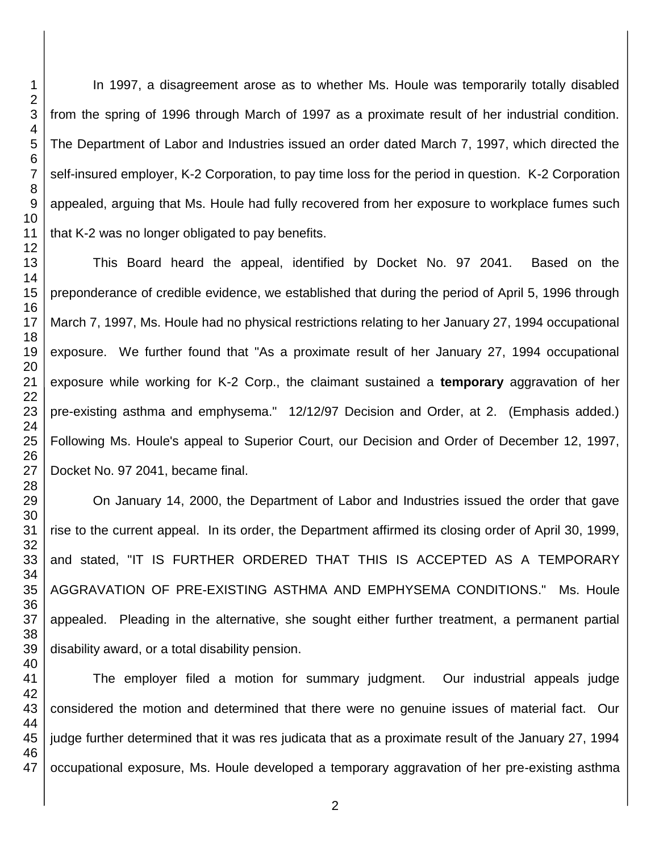In 1997, a disagreement arose as to whether Ms. Houle was temporarily totally disabled from the spring of 1996 through March of 1997 as a proximate result of her industrial condition. The Department of Labor and Industries issued an order dated March 7, 1997, which directed the self-insured employer, K-2 Corporation, to pay time loss for the period in question. K-2 Corporation appealed, arguing that Ms. Houle had fully recovered from her exposure to workplace fumes such that K-2 was no longer obligated to pay benefits.

This Board heard the appeal, identified by Docket No. 97 2041. Based on the preponderance of credible evidence, we established that during the period of April 5, 1996 through March 7, 1997, Ms. Houle had no physical restrictions relating to her January 27, 1994 occupational exposure. We further found that "As a proximate result of her January 27, 1994 occupational exposure while working for K-2 Corp., the claimant sustained a **temporary** aggravation of her pre-existing asthma and emphysema." 12/12/97 Decision and Order, at 2. (Emphasis added.) Following Ms. Houle's appeal to Superior Court, our Decision and Order of December 12, 1997, Docket No. 97 2041, became final.

On January 14, 2000, the Department of Labor and Industries issued the order that gave rise to the current appeal. In its order, the Department affirmed its closing order of April 30, 1999, and stated, "IT IS FURTHER ORDERED THAT THIS IS ACCEPTED AS A TEMPORARY AGGRAVATION OF PRE-EXISTING ASTHMA AND EMPHYSEMA CONDITIONS." Ms. Houle appealed. Pleading in the alternative, she sought either further treatment, a permanent partial disability award, or a total disability pension.

The employer filed a motion for summary judgment. Our industrial appeals judge considered the motion and determined that there were no genuine issues of material fact. Our judge further determined that it was res judicata that as a proximate result of the January 27, 1994 occupational exposure, Ms. Houle developed a temporary aggravation of her pre-existing asthma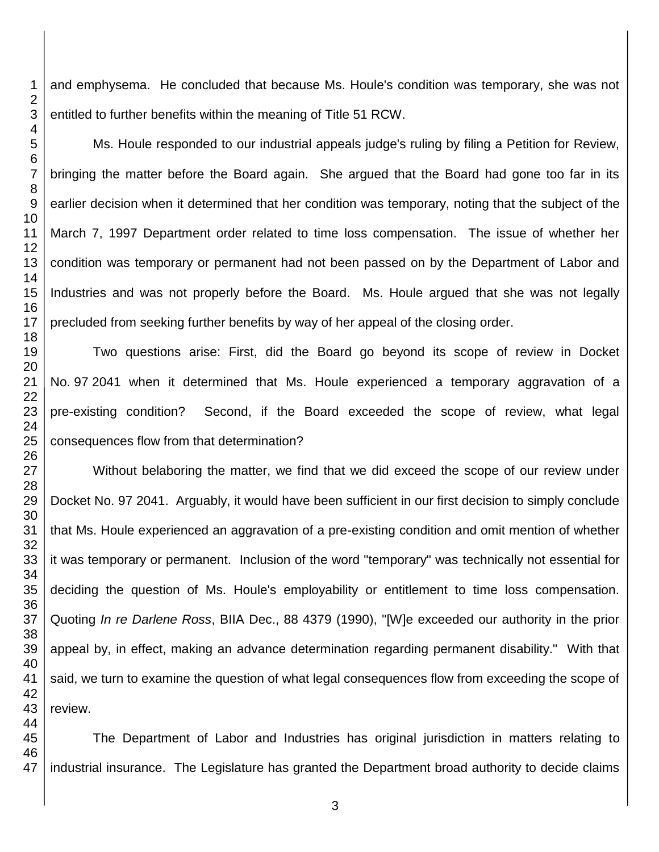and emphysema. He concluded that because Ms. Houle's condition was temporary, she was not entitled to further benefits within the meaning of Title 51 RCW.

Ms. Houle responded to our industrial appeals judge's ruling by filing a Petition for Review, bringing the matter before the Board again. She argued that the Board had gone too far in its earlier decision when it determined that her condition was temporary, noting that the subject of the March 7, 1997 Department order related to time loss compensation. The issue of whether her condition was temporary or permanent had not been passed on by the Department of Labor and Industries and was not properly before the Board. Ms. Houle argued that she was not legally precluded from seeking further benefits by way of her appeal of the closing order.

Two questions arise: First, did the Board go beyond its scope of review in Docket No. 97 2041 when it determined that Ms. Houle experienced a temporary aggravation of a pre-existing condition? Second, if the Board exceeded the scope of review, what legal consequences flow from that determination?

Without belaboring the matter, we find that we did exceed the scope of our review under Docket No. 97 2041. Arguably, it would have been sufficient in our first decision to simply conclude that Ms. Houle experienced an aggravation of a pre-existing condition and omit mention of whether it was temporary or permanent. Inclusion of the word "temporary" was technically not essential for deciding the question of Ms. Houle's employability or entitlement to time loss compensation. Quoting *In re Darlene Ross*, BIIA Dec., 88 4379 (1990), "[W]e exceeded our authority in the prior appeal by, in effect, making an advance determination regarding permanent disability." With that said, we turn to examine the question of what legal consequences flow from exceeding the scope of review.

 The Department of Labor and Industries has original jurisdiction in matters relating to industrial insurance. The Legislature has granted the Department broad authority to decide claims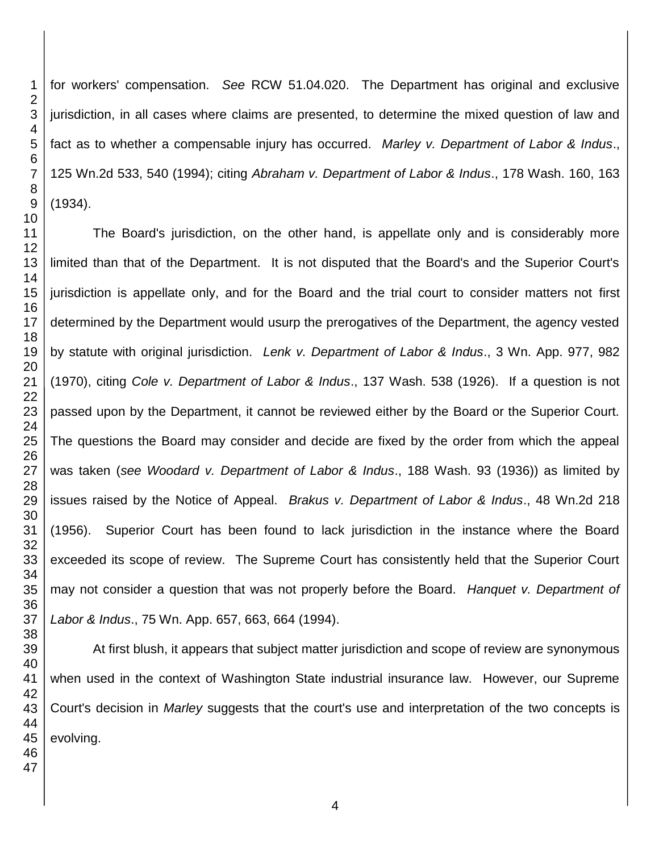for workers' compensation. *See* RCW 51.04.020. The Department has original and exclusive jurisdiction, in all cases where claims are presented, to determine the mixed question of law and fact as to whether a compensable injury has occurred. *Marley v. Department of Labor & Indus*., 125 Wn.2d 533, 540 (1994); citing *Abraham v. Department of Labor & Indus*., 178 Wash. 160, 163 (1934).

The Board's jurisdiction, on the other hand, is appellate only and is considerably more limited than that of the Department. It is not disputed that the Board's and the Superior Court's jurisdiction is appellate only, and for the Board and the trial court to consider matters not first determined by the Department would usurp the prerogatives of the Department, the agency vested by statute with original jurisdiction. *Lenk v. Department of Labor & Indus*., 3 Wn. App. 977, 982 (1970), citing *Cole v. Department of Labor & Indus*., 137 Wash. 538 (1926). If a question is not passed upon by the Department, it cannot be reviewed either by the Board or the Superior Court. The questions the Board may consider and decide are fixed by the order from which the appeal was taken (*see Woodard v. Department of Labor & Indus*., 188 Wash. 93 (1936)) as limited by issues raised by the Notice of Appeal. *Brakus v. Department of Labor & Indus*., 48 Wn.2d 218 (1956). Superior Court has been found to lack jurisdiction in the instance where the Board exceeded its scope of review. The Supreme Court has consistently held that the Superior Court may not consider a question that was not properly before the Board. *Hanquet v. Department of Labor & Indus*., 75 Wn. App. 657, 663, 664 (1994).

At first blush, it appears that subject matter jurisdiction and scope of review are synonymous when used in the context of Washington State industrial insurance law. However, our Supreme Court's decision in *Marley* suggests that the court's use and interpretation of the two concepts is evolving.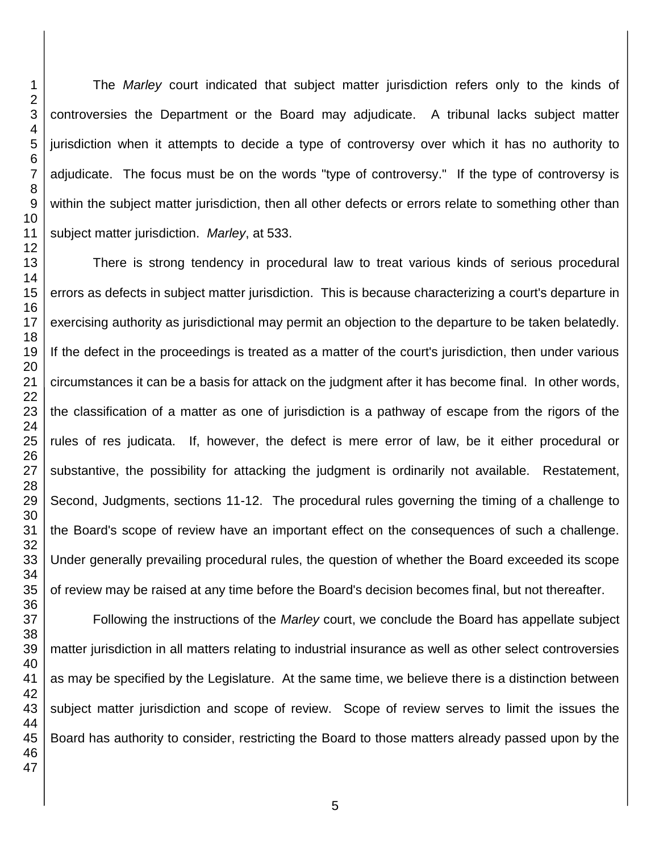The *Marley* court indicated that subject matter jurisdiction refers only to the kinds of controversies the Department or the Board may adjudicate. A tribunal lacks subject matter jurisdiction when it attempts to decide a type of controversy over which it has no authority to adjudicate. The focus must be on the words "type of controversy." If the type of controversy is within the subject matter jurisdiction, then all other defects or errors relate to something other than subject matter jurisdiction. *Marley*, at 533.

There is strong tendency in procedural law to treat various kinds of serious procedural errors as defects in subject matter jurisdiction. This is because characterizing a court's departure in exercising authority as jurisdictional may permit an objection to the departure to be taken belatedly. If the defect in the proceedings is treated as a matter of the court's jurisdiction, then under various circumstances it can be a basis for attack on the judgment after it has become final. In other words, the classification of a matter as one of jurisdiction is a pathway of escape from the rigors of the rules of res judicata. If, however, the defect is mere error of law, be it either procedural or substantive, the possibility for attacking the judgment is ordinarily not available. Restatement, Second, Judgments, sections 11-12. The procedural rules governing the timing of a challenge to the Board's scope of review have an important effect on the consequences of such a challenge. Under generally prevailing procedural rules, the question of whether the Board exceeded its scope of review may be raised at any time before the Board's decision becomes final, but not thereafter.

Following the instructions of the *Marley* court, we conclude the Board has appellate subject matter jurisdiction in all matters relating to industrial insurance as well as other select controversies as may be specified by the Legislature. At the same time, we believe there is a distinction between subject matter jurisdiction and scope of review. Scope of review serves to limit the issues the Board has authority to consider, restricting the Board to those matters already passed upon by the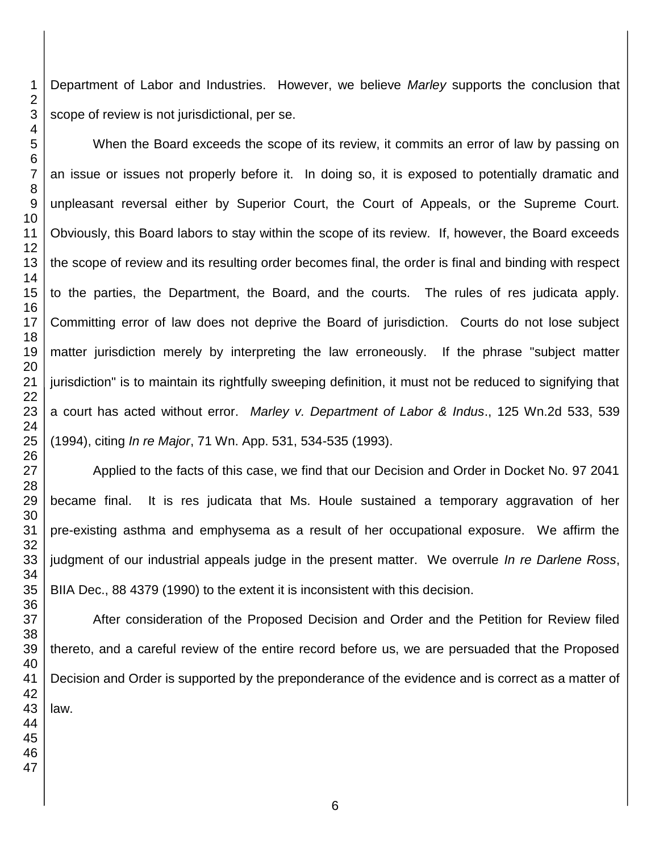Department of Labor and Industries. However, we believe *Marley* supports the conclusion that scope of review is not jurisdictional, per se.

When the Board exceeds the scope of its review, it commits an error of law by passing on an issue or issues not properly before it. In doing so, it is exposed to potentially dramatic and unpleasant reversal either by Superior Court, the Court of Appeals, or the Supreme Court. Obviously, this Board labors to stay within the scope of its review. If, however, the Board exceeds the scope of review and its resulting order becomes final, the order is final and binding with respect to the parties, the Department, the Board, and the courts. The rules of res judicata apply. Committing error of law does not deprive the Board of jurisdiction. Courts do not lose subject matter jurisdiction merely by interpreting the law erroneously. If the phrase "subject matter jurisdiction" is to maintain its rightfully sweeping definition, it must not be reduced to signifying that a court has acted without error. *Marley v. Department of Labor & Indus*., 125 Wn.2d 533, 539 (1994), citing *In re Major*, 71 Wn. App. 531, 534-535 (1993).

Applied to the facts of this case, we find that our Decision and Order in Docket No. 97 2041 became final. It is res judicata that Ms. Houle sustained a temporary aggravation of her pre-existing asthma and emphysema as a result of her occupational exposure. We affirm the judgment of our industrial appeals judge in the present matter. We overrule *In re Darlene Ross*, BIIA Dec., 88 4379 (1990) to the extent it is inconsistent with this decision.

After consideration of the Proposed Decision and Order and the Petition for Review filed thereto, and a careful review of the entire record before us, we are persuaded that the Proposed Decision and Order is supported by the preponderance of the evidence and is correct as a matter of law.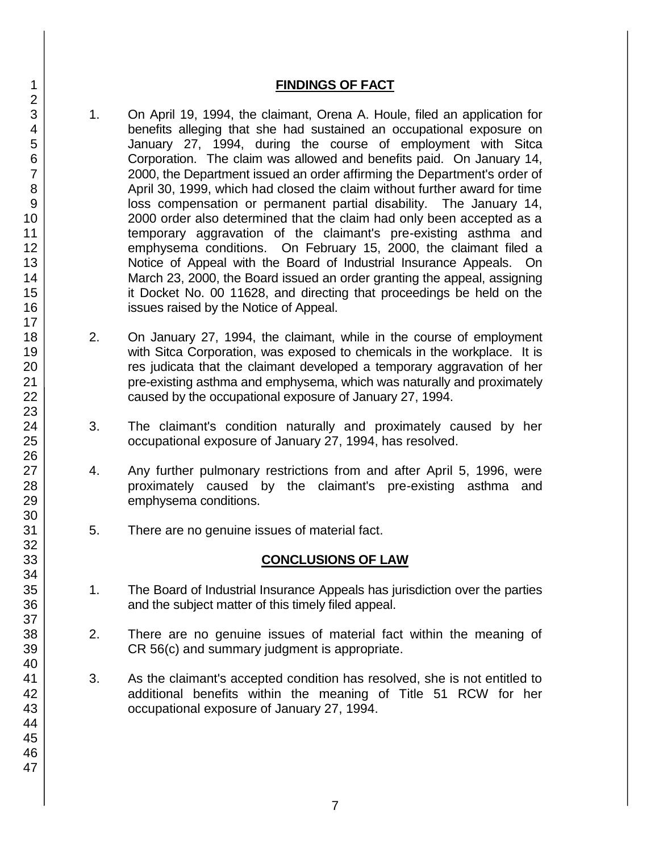### **FINDINGS OF FACT**

- 1. On April 19, 1994, the claimant, Orena A. Houle, filed an application for benefits alleging that she had sustained an occupational exposure on January 27, 1994, during the course of employment with Sitca Corporation. The claim was allowed and benefits paid. On January 14, 2000, the Department issued an order affirming the Department's order of April 30, 1999, which had closed the claim without further award for time loss compensation or permanent partial disability. The January 14, 2000 order also determined that the claim had only been accepted as a temporary aggravation of the claimant's pre-existing asthma and emphysema conditions. On February 15, 2000, the claimant filed a Notice of Appeal with the Board of Industrial Insurance Appeals. On March 23, 2000, the Board issued an order granting the appeal, assigning it Docket No. 00 11628, and directing that proceedings be held on the issues raised by the Notice of Appeal.
- 2. On January 27, 1994, the claimant, while in the course of employment with Sitca Corporation, was exposed to chemicals in the workplace. It is res judicata that the claimant developed a temporary aggravation of her pre-existing asthma and emphysema, which was naturally and proximately caused by the occupational exposure of January 27, 1994.
- 3. The claimant's condition naturally and proximately caused by her occupational exposure of January 27, 1994, has resolved.
- 4. Any further pulmonary restrictions from and after April 5, 1996, were proximately caused by the claimant's pre-existing asthma and emphysema conditions.
- 5. There are no genuine issues of material fact.

## **CONCLUSIONS OF LAW**

- 1. The Board of Industrial Insurance Appeals has jurisdiction over the parties and the subject matter of this timely filed appeal.
- 2. There are no genuine issues of material fact within the meaning of CR 56(c) and summary judgment is appropriate.
- 3. As the claimant's accepted condition has resolved, she is not entitled to additional benefits within the meaning of Title 51 RCW for her occupational exposure of January 27, 1994.